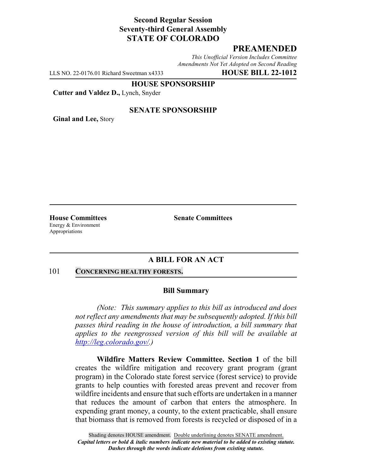## **Second Regular Session Seventy-third General Assembly STATE OF COLORADO**

## **PREAMENDED**

*This Unofficial Version Includes Committee Amendments Not Yet Adopted on Second Reading*

LLS NO. 22-0176.01 Richard Sweetman x4333 **HOUSE BILL 22-1012**

**HOUSE SPONSORSHIP**

**Cutter and Valdez D.,** Lynch, Snyder

### **SENATE SPONSORSHIP**

**Ginal and Lee,** Story

Energy & Environment Appropriations

**House Committees Senate Committees**

## **A BILL FOR AN ACT**

### 101 **CONCERNING HEALTHY FORESTS.**

### **Bill Summary**

*(Note: This summary applies to this bill as introduced and does not reflect any amendments that may be subsequently adopted. If this bill passes third reading in the house of introduction, a bill summary that applies to the reengrossed version of this bill will be available at http://leg.colorado.gov/.)*

**Wildfire Matters Review Committee. Section 1** of the bill creates the wildfire mitigation and recovery grant program (grant program) in the Colorado state forest service (forest service) to provide grants to help counties with forested areas prevent and recover from wildfire incidents and ensure that such efforts are undertaken in a manner that reduces the amount of carbon that enters the atmosphere. In expending grant money, a county, to the extent practicable, shall ensure that biomass that is removed from forests is recycled or disposed of in a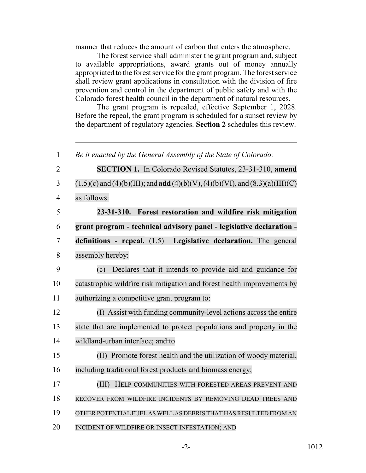manner that reduces the amount of carbon that enters the atmosphere.

The forest service shall administer the grant program and, subject to available appropriations, award grants out of money annually appropriated to the forest service for the grant program. The forest service shall review grant applications in consultation with the division of fire prevention and control in the department of public safety and with the Colorado forest health council in the department of natural resources.

The grant program is repealed, effective September 1, 2028. Before the repeal, the grant program is scheduled for a sunset review by the department of regulatory agencies. **Section 2** schedules this review.

| $\mathbf{1}$   | Be it enacted by the General Assembly of the State of Colorado:                                   |
|----------------|---------------------------------------------------------------------------------------------------|
| $\overline{2}$ | <b>SECTION 1.</b> In Colorado Revised Statutes, 23-31-310, amend                                  |
| 3              | $(1.5)(c)$ and $(4)(b)(III)$ ; and <b>add</b> $(4)(b)(V)$ , $(4)(b)(VI)$ , and $(8.3)(a)(III)(C)$ |
| $\overline{4}$ | as follows:                                                                                       |
| 5              | 23-31-310. Forest restoration and wildfire risk mitigation                                        |
| 6              | grant program - technical advisory panel - legislative declaration -                              |
| 7              | definitions - repeal. $(1.5)$<br>Legislative declaration. The general                             |
| 8              | assembly hereby:                                                                                  |
| 9              | Declares that it intends to provide aid and guidance for<br>(c)                                   |
| 10             | catastrophic wildfire risk mitigation and forest health improvements by                           |
| 11             | authorizing a competitive grant program to:                                                       |
| 12             | (I) Assist with funding community-level actions across the entire                                 |
| 13             | state that are implemented to protect populations and property in the                             |
| 14             | wildland-urban interface; and to                                                                  |
| 15             | (II) Promote forest health and the utilization of woody material,                                 |
| 16             | including traditional forest products and biomass energy;                                         |
| 17             | HELP COMMUNITIES WITH FORESTED AREAS PREVENT AND<br>(III)                                         |
| 18             | RECOVER FROM WILDFIRE INCIDENTS BY REMOVING DEAD TREES AND                                        |
| 19             | OTHER POTENTIAL FUEL AS WELL AS DEBRIS THAT HAS RESULTED FROM AN                                  |
| 20             | INCIDENT OF WILDFIRE OR INSECT INFESTATION; AND                                                   |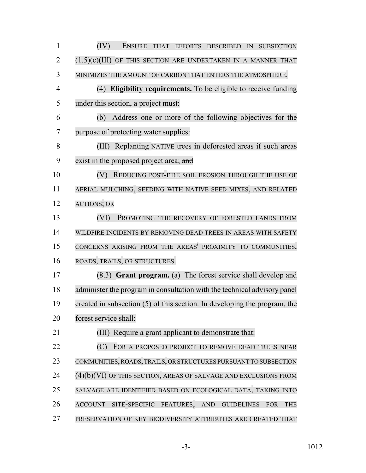(IV) ENSURE THAT EFFORTS DESCRIBED IN SUBSECTION  $(1.5)(c)(III)$  of this section are undertaken in a manner that MINIMIZES THE AMOUNT OF CARBON THAT ENTERS THE ATMOSPHERE. (4) **Eligibility requirements.** To be eligible to receive funding under this section, a project must: (b) Address one or more of the following objectives for the purpose of protecting water supplies: (III) Replanting NATIVE trees in deforested areas if such areas 9 exist in the proposed project area; and 10 (V) REDUCING POST-FIRE SOIL EROSION THROUGH THE USE OF AERIAL MULCHING, SEEDING WITH NATIVE SEED MIXES, AND RELATED ACTIONS; OR (VI) PROMOTING THE RECOVERY OF FORESTED LANDS FROM WILDFIRE INCIDENTS BY REMOVING DEAD TREES IN AREAS WITH SAFETY CONCERNS ARISING FROM THE AREAS' PROXIMITY TO COMMUNITIES, ROADS, TRAILS, OR STRUCTURES. (8.3) **Grant program.** (a) The forest service shall develop and administer the program in consultation with the technical advisory panel created in subsection (5) of this section. In developing the program, the forest service shall: (III) Require a grant applicant to demonstrate that: **(C)** FOR A PROPOSED PROJECT TO REMOVE DEAD TREES NEAR COMMUNITIES, ROADS, TRAILS, OR STRUCTURES PURSUANT TO SUBSECTION (4)(b)(VI) OF THIS SECTION, AREAS OF SALVAGE AND EXCLUSIONS FROM SALVAGE ARE IDENTIFIED BASED ON ECOLOGICAL DATA, TAKING INTO ACCOUNT SITE-SPECIFIC FEATURES, AND GUIDELINES FOR THE PRESERVATION OF KEY BIODIVERSITY ATTRIBUTES ARE CREATED THAT